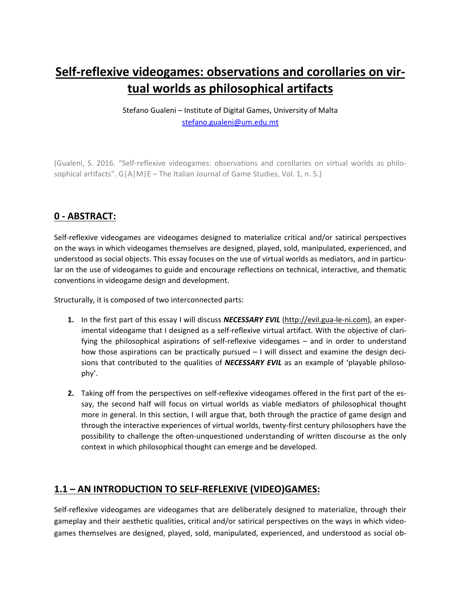# **Self-reflexive videogames: observations and corollaries on virtual worlds as philosophical artifacts**

Stefano Gualeni – Institute of Digital Games, University of Malta [stefano.gualeni@um.edu.mt](mailto:stefano.gualeni@um.edu.mt)

(Gualeni, S. 2016. "Self-reflexive videogames: observations and corollaries on virtual worlds as philosophical artifacts". G|A|M|E – The Italian Journal of Game Studies, Vol. 1, n. 5.)

# **0 - ABSTRACT:**

Self-reflexive videogames are videogames designed to materialize critical and/or satirical perspectives on the ways in which videogames themselves are designed, played, sold, manipulated, experienced, and understood as social objects. This essay focuses on the use of virtual worlds as mediators, and in particular on the use of videogames to guide and encourage reflections on technical, interactive, and thematic conventions in videogame design and development.

Structurally, it is composed of two interconnected parts:

- **1.** In the first part of this essay I will discuss *NECESSARY EVIL* [\(http://evil.gua-le-ni.com\)](http://evil.gua-le-ni.com/), an experimental videogame that I designed as a self-reflexive virtual artifact. With the objective of clarifying the philosophical aspirations of self-reflexive videogames – and in order to understand how those aspirations can be practically pursued – I will dissect and examine the design decisions that contributed to the qualities of *NECESSARY EVIL* as an example of 'playable philosophy'.
- **2.** Taking off from the perspectives on self-reflexive videogames offered in the first part of the essay, the second half will focus on virtual worlds as viable mediators of philosophical thought more in general. In this section, I will argue that, both through the practice of game design and through the interactive experiences of virtual worlds, twenty-first century philosophers have the possibility to challenge the often-unquestioned understanding of written discourse as the only context in which philosophical thought can emerge and be developed.

# **1.1 – AN INTRODUCTION TO SELF-REFLEXIVE (VIDEO)GAMES:**

Self-reflexive videogames are videogames that are deliberately designed to materialize, through their gameplay and their aesthetic qualities, critical and/or satirical perspectives on the ways in which videogames themselves are designed, played, sold, manipulated, experienced, and understood as social ob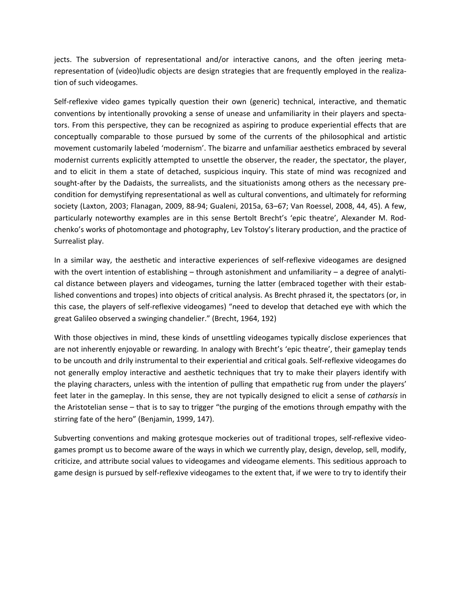jects. The subversion of representational and/or interactive canons, and the often jeering metarepresentation of (video)ludic objects are design strategies that are frequently employed in the realization of such videogames.

Self-reflexive video games typically question their own (generic) technical, interactive, and thematic conventions by intentionally provoking a sense of unease and unfamiliarity in their players and spectators. From this perspective, they can be recognized as aspiring to produce experiential effects that are conceptually comparable to those pursued by some of the currents of the philosophical and artistic movement customarily labeled 'modernism'. The bizarre and unfamiliar aesthetics embraced by several modernist currents explicitly attempted to unsettle the observer, the reader, the spectator, the player, and to elicit in them a state of detached, suspicious inquiry. This state of mind was recognized and sought-after by the Dadaists, the surrealists, and the situationists among others as the necessary precondition for demystifying representational as well as cultural conventions, and ultimately for reforming society (Laxton, 2003; Flanagan, 2009, 88-94; Gualeni, 2015a, 63–67; Van Roessel, 2008, 44, 45). A few, particularly noteworthy examples are in this sense Bertolt Brecht's 'epic theatre', Alexander M. Rodchenko's works of photomontage and photography, Lev Tolstoy's literary production, and the practice of Surrealist play.

In a similar way, the aesthetic and interactive experiences of self-reflexive videogames are designed with the overt intention of establishing – through astonishment and unfamiliarity – a degree of analytical distance between players and videogames, turning the latter (embraced together with their established conventions and tropes) into objects of critical analysis. As Brecht phrased it, the spectators (or, in this case, the players of self-reflexive videogames) "need to develop that detached eye with which the great Galileo observed a swinging chandelier." (Brecht, 1964, 192)

With those objectives in mind, these kinds of unsettling videogames typically disclose experiences that are not inherently enjoyable or rewarding. In analogy with Brecht's 'epic theatre', their gameplay tends to be uncouth and drily instrumental to their experiential and critical goals. Self-reflexive videogames do not generally employ interactive and aesthetic techniques that try to make their players identify with the playing characters, unless with the intention of pulling that empathetic rug from under the players' feet later in the gameplay. In this sense, they are not typically designed to elicit a sense of *catharsis* in the Aristotelian sense – that is to say to trigger "the purging of the emotions through empathy with the stirring fate of the hero" (Benjamin, 1999, 147).

Subverting conventions and making grotesque mockeries out of traditional tropes, self-reflexive videogames prompt us to become aware of the ways in which we currently play, design, develop, sell, modify, criticize, and attribute social values to videogames and videogame elements. This seditious approach to game design is pursued by self-reflexive videogames to the extent that, if we were to try to identify their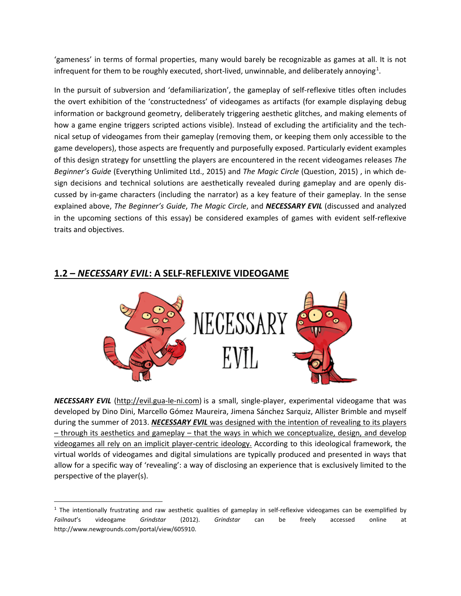'gameness' in terms of formal properties, many would barely be recognizable as games at all. It is not infrequent for them to be roughly executed, short-lived, unwinnable, and deliberately annoying<sup>[1](#page-2-0)</sup>.

In the pursuit of subversion and 'defamiliarization', the gameplay of self-reflexive titles often includes the overt exhibition of the 'constructedness' of videogames as artifacts (for example displaying debug information or background geometry, deliberately triggering aesthetic glitches, and making elements of how a game engine triggers scripted actions visible). Instead of excluding the artificiality and the technical setup of videogames from their gameplay (removing them, or keeping them only accessible to the game developers), those aspects are frequently and purposefully exposed. Particularly evident examples of this design strategy for unsettling the players are encountered in the recent videogames releases *The Beginner's Guide* (Everything Unlimited Ltd., 2015) and *The Magic Circle* (Question, 2015) , in which design decisions and technical solutions are aesthetically revealed during gameplay and are openly discussed by in-game characters (including the narrator) as a key feature of their gameplay. In the sense explained above, *The Beginner's Guide*, *The Magic Circle*, and *NECESSARY EVIL* (discussed and analyzed in the upcoming sections of this essay) be considered examples of games with evident self-reflexive traits and objectives.

**1.2 –** *NECESSARY EVIL***: A SELF-REFLEXIVE VIDEOGAME**

*NECESSARY EVIL* [\(http://evil.gua-le-ni.com\)](http://evil.gua-le-ni.com/) is a small, single-player, experimental videogame that was developed by Dino Dini, Marcello Gómez Maureira, Jimena Sánchez Sarquiz, Allister Brimble and myself during the summer of 2013. *NECESSARY EVIL* was designed with the intention of revealing to its players  $-$  through its aesthetics and gameplay  $-$  that the ways in which we conceptualize, design, and develop videogames all rely on an implicit player-centric ideology. According to this ideological framework, the virtual worlds of videogames and digital simulations are typically produced and presented in ways that allow for a specific way of 'revealing': a way of disclosing an experience that is exclusively limited to the perspective of the player(s).

<span id="page-2-0"></span> $1$  The intentionally frustrating and raw aesthetic qualities of gameplay in self-reflexive videogames can be exemplified by *Failnaut*'s videogame *Grindstar* (2012). *Grindstar* can be freely accessed online at http://www.newgrounds.com/portal/view/605910.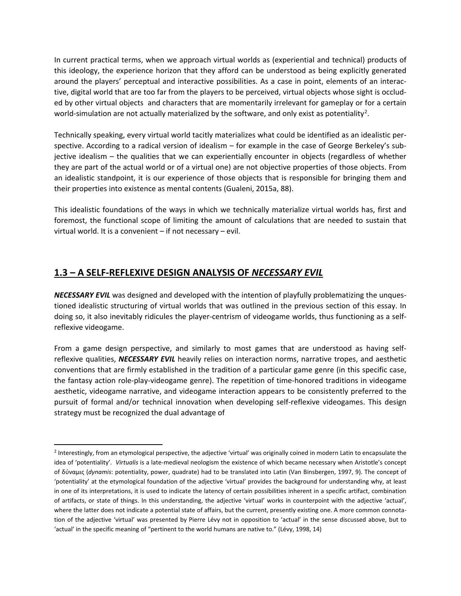In current practical terms, when we approach virtual worlds as (experiential and technical) products of this ideology, the experience horizon that they afford can be understood as being explicitly generated around the players' perceptual and interactive possibilities. As a case in point, elements of an interactive, digital world that are too far from the players to be perceived, virtual objects whose sight is occluded by other virtual objects and characters that are momentarily irrelevant for gameplay or for a certain world-simulation are not actually materialized by the software, and only exist as potentiality<sup>[2](#page-3-0)</sup>.

Technically speaking, every virtual world tacitly materializes what could be identified as an idealistic perspective. According to a radical version of idealism – for example in the case of George Berkeley's subjective idealism – the qualities that we can experientially encounter in objects (regardless of whether they are part of the actual world or of a virtual one) are not objective properties of those objects. From an idealistic standpoint, it is our experience of those objects that is responsible for bringing them and their properties into existence as mental contents (Gualeni, 2015a, 88).

This idealistic foundations of the ways in which we technically materialize virtual worlds has, first and foremost, the functional scope of limiting the amount of calculations that are needed to sustain that virtual world. It is a convenient – if not necessary – evil.

# **1.3 – A SELF-REFLEXIVE DESIGN ANALYSIS OF** *NECESSARY EVIL*

*NECESSARY EVIL* was designed and developed with the intention of playfully problematizing the unquestioned idealistic structuring of virtual worlds that was outlined in the previous section of this essay. In doing so, it also inevitably ridicules the player-centrism of videogame worlds, thus functioning as a selfreflexive videogame.

From a game design perspective, and similarly to most games that are understood as having selfreflexive qualities, *NECESSARY EVIL* heavily relies on interaction norms, narrative tropes, and aesthetic conventions that are firmly established in the tradition of a particular game genre (in this specific case, the fantasy action role-play-videogame genre). The repetition of time-honored traditions in videogame aesthetic, videogame narrative, and videogame interaction appears to be consistently preferred to the pursuit of formal and/or technical innovation when developing self-reflexive videogames. This design strategy must be recognized the dual advantage of

<span id="page-3-0"></span> $<sup>2</sup>$  Interestingly, from an etymological perspective, the adjective 'virtual' was originally coined in modern Latin to encapsulate the</sup> idea of 'potentiality'. *Virtualis* is a late-medieval neologism the existence of which became necessary when Aristotle's concept of δύναμις (*dynamis*: potentiality, power, quadrate) had to be translated into Latin (Van Binsbergen, 1997, 9). The concept of 'potentiality' at the etymological foundation of the adjective 'virtual' provides the background for understanding why, at least in one of its interpretations, it is used to indicate the latency of certain possibilities inherent in a specific artifact, combination of artifacts, or state of things. In this understanding, the adjective 'virtual' works in counterpoint with the adjective 'actual', where the latter does not indicate a potential state of affairs, but the current, presently existing one. A more common connotation of the adjective 'virtual' was presented by Pierre Lévy not in opposition to 'actual' in the sense discussed above, but to 'actual' in the specific meaning of "pertinent to the world humans are native to." (Lévy, 1998, 14)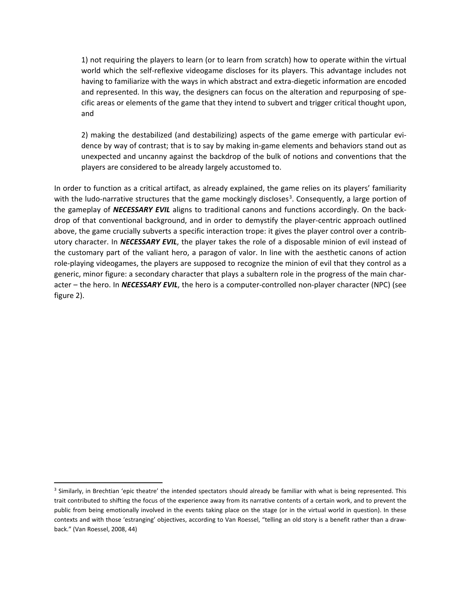1) not requiring the players to learn (or to learn from scratch) how to operate within the virtual world which the self-reflexive videogame discloses for its players. This advantage includes not having to familiarize with the ways in which abstract and extra-diegetic information are encoded and represented. In this way, the designers can focus on the alteration and repurposing of specific areas or elements of the game that they intend to subvert and trigger critical thought upon, and

2) making the destabilized (and destabilizing) aspects of the game emerge with particular evidence by way of contrast; that is to say by making in-game elements and behaviors stand out as unexpected and uncanny against the backdrop of the bulk of notions and conventions that the players are considered to be already largely accustomed to.

In order to function as a critical artifact, as already explained, the game relies on its players' familiarity with the ludo-narrative structures that the game mockingly discloses<sup>[3](#page-4-0)</sup>. Consequently, a large portion of the gameplay of *NECESSARY EVIL* aligns to traditional canons and functions accordingly. On the backdrop of that conventional background, and in order to demystify the player-centric approach outlined above, the game crucially subverts a specific interaction trope: it gives the player control over a contributory character. In *NECESSARY EVIL*, the player takes the role of a disposable minion of evil instead of the customary part of the valiant hero, a paragon of valor. In line with the aesthetic canons of action role-playing videogames, the players are supposed to recognize the minion of evil that they control as a generic, minor figure: a secondary character that plays a subaltern role in the progress of the main character – the hero. In *NECESSARY EVIL*, the hero is a computer-controlled non-player character (NPC) (see figure 2).

<span id="page-4-0"></span><sup>&</sup>lt;sup>3</sup> Similarly, in Brechtian 'epic theatre' the intended spectators should already be familiar with what is being represented. This trait contributed to shifting the focus of the experience away from its narrative contents of a certain work, and to prevent the public from being emotionally involved in the events taking place on the stage (or in the virtual world in question). In these contexts and with those 'estranging' objectives, according to Van Roessel, "telling an old story is a benefit rather than a drawback." (Van Roessel, 2008, 44)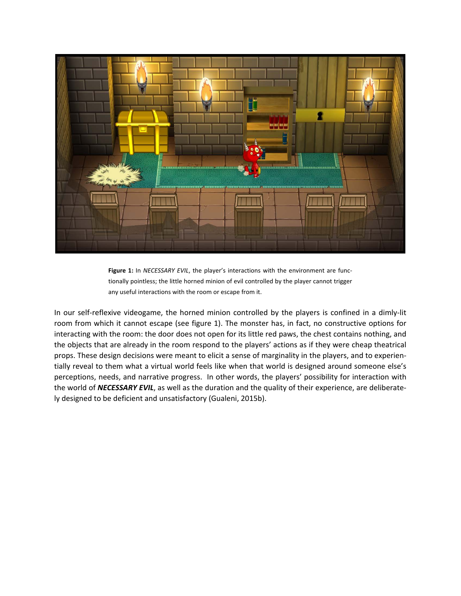

**Figure 1:** In *NECESSARY EVIL*, the player's interactions with the environment are functionally pointless; the little horned minion of evil controlled by the player cannot trigger any useful interactions with the room or escape from it.

In our self-reflexive videogame, the horned minion controlled by the players is confined in a dimly-lit room from which it cannot escape (see figure 1). The monster has, in fact, no constructive options for interacting with the room: the door does not open for its little red paws, the chest contains nothing, and the objects that are already in the room respond to the players' actions as if they were cheap theatrical props. These design decisions were meant to elicit a sense of marginality in the players, and to experientially reveal to them what a virtual world feels like when that world is designed around someone else's perceptions, needs, and narrative progress. In other words, the players' possibility for interaction with the world of *NECESSARY EVIL*, as well as the duration and the quality of their experience, are deliberately designed to be deficient and unsatisfactory (Gualeni, 2015b).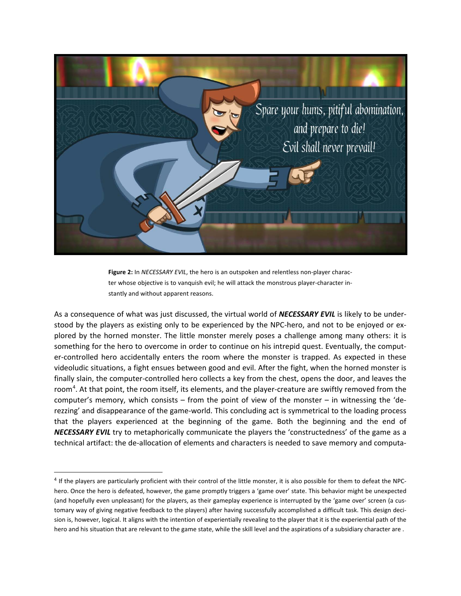

**Figure 2:** In *NECESSARY EVIL*, the hero is an outspoken and relentless non-player character whose objective is to vanquish evil; he will attack the monstrous player-character instantly and without apparent reasons.

As a consequence of what was just discussed, the virtual world of *NECESSARY EVIL* is likely to be understood by the players as existing only to be experienced by the NPC-hero, and not to be enjoyed or explored by the horned monster. The little monster merely poses a challenge among many others: it is something for the hero to overcome in order to continue on his intrepid quest. Eventually, the computer-controlled hero accidentally enters the room where the monster is trapped. As expected in these videoludic situations, a fight ensues between good and evil. After the fight, when the horned monster is finally slain, the computer-controlled hero collects a key from the chest, opens the door, and leaves the room<sup>[4](#page-6-0)</sup>. At that point, the room itself, its elements, and the player-creature are swiftly removed from the computer's memory, which consists – from the point of view of the monster – in witnessing the 'derezzing' and disappearance of the game-world. This concluding act is symmetrical to the loading process that the players experienced at the beginning of the game. Both the beginning and the end of *NECESSARY EVIL* try to metaphorically communicate the players the 'constructedness' of the game as a technical artifact: the de-allocation of elements and characters is needed to save memory and computa-

<span id="page-6-0"></span><sup>&</sup>lt;sup>4</sup> If the players are particularly proficient with their control of the little monster, it is also possible for them to defeat the NPChero. Once the hero is defeated, however, the game promptly triggers a 'game over' state. This behavior might be unexpected (and hopefully even unpleasant) for the players, as their gameplay experience is interrupted by the 'game over' screen (a customary way of giving negative feedback to the players) after having successfully accomplished a difficult task. This design decision is, however, logical. It aligns with the intention of experientially revealing to the player that it is the experiential path of the hero and his situation that are relevant to the game state, while the skill level and the aspirations of a subsidiary character are .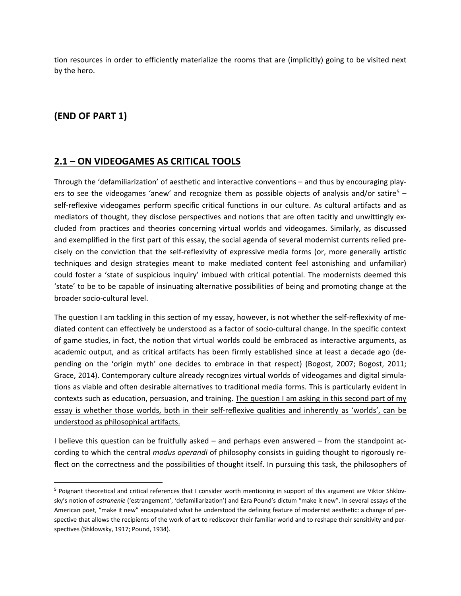tion resources in order to efficiently materialize the rooms that are (implicitly) going to be visited next by the hero.

# **(END OF PART 1)**

#### **2.1 – ON VIDEOGAMES AS CRITICAL TOOLS**

Through the 'defamiliarization' of aesthetic and interactive conventions – and thus by encouraging play-ers to see the videogames 'anew' and recognize them as possible objects of analysis and/or satire<sup>[5](#page-7-0)</sup> – self-reflexive videogames perform specific critical functions in our culture. As cultural artifacts and as mediators of thought, they disclose perspectives and notions that are often tacitly and unwittingly excluded from practices and theories concerning virtual worlds and videogames. Similarly, as discussed and exemplified in the first part of this essay, the social agenda of several modernist currents relied precisely on the conviction that the self-reflexivity of expressive media forms (or, more generally artistic techniques and design strategies meant to make mediated content feel astonishing and unfamiliar) could foster a 'state of suspicious inquiry' imbued with critical potential. The modernists deemed this 'state' to be to be capable of insinuating alternative possibilities of being and promoting change at the broader socio-cultural level.

The question I am tackling in this section of my essay, however, is not whether the self-reflexivity of mediated content can effectively be understood as a factor of socio-cultural change. In the specific context of game studies, in fact, the notion that virtual worlds could be embraced as interactive arguments, as academic output, and as critical artifacts has been firmly established since at least a decade ago (depending on the 'origin myth' one decides to embrace in that respect) (Bogost, 2007; Bogost, 2011; Grace, 2014). Contemporary culture already recognizes virtual worlds of videogames and digital simulations as viable and often desirable alternatives to traditional media forms. This is particularly evident in contexts such as education, persuasion, and training. The question I am asking in this second part of my essay is whether those worlds, both in their self-reflexive qualities and inherently as 'worlds', can be understood as philosophical artifacts.

I believe this question can be fruitfully asked – and perhaps even answered – from the standpoint according to which the central *modus operandi* of philosophy consists in guiding thought to rigorously reflect on the correctness and the possibilities of thought itself. In pursuing this task, the philosophers of

<span id="page-7-0"></span> <sup>5</sup> Poignant theoretical and critical references that I consider worth mentioning in support of this argument are Viktor Shklovsky's notion of *ostranenie* ('estrangement', 'defamiliarization') and Ezra Pound's dictum "make it new". In several essays of the American poet, "make it new" encapsulated what he understood the defining feature of modernist aesthetic: a change of perspective that allows the recipients of the work of art to rediscover their familiar world and to reshape their sensitivity and perspectives (Shklowsky, 1917; Pound, 1934).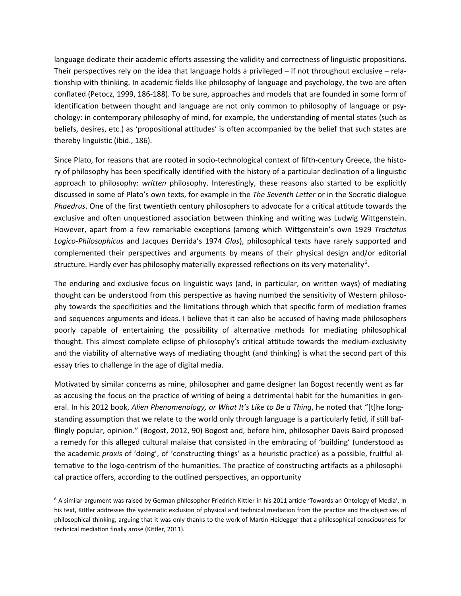language dedicate their academic efforts assessing the validity and correctness of linguistic propositions. Their perspectives rely on the idea that language holds a privileged – if not throughout exclusive – relationship with thinking. In academic fields like philosophy of language and psychology, the two are often conflated (Petocz, 1999, 186-188). To be sure, approaches and models that are founded in some form of identification between thought and language are not only common to philosophy of language or psychology: in contemporary philosophy of mind, for example, the understanding of mental states (such as beliefs, desires, etc.) as 'propositional attitudes' is often accompanied by the belief that such states are thereby linguistic (ibid., 186).

Since Plato, for reasons that are rooted in socio-technological context of fifth-century Greece, the history of philosophy has been specifically identified with the history of a particular declination of a linguistic approach to philosophy: *written* philosophy. Interestingly, these reasons also started to be explicitly discussed in some of Plato's own texts, for example in the *The Seventh Letter* or in the Socratic dialogue *Phaedrus*. One of the first twentieth century philosophers to advocate for a critical attitude towards the exclusive and often unquestioned association between thinking and writing was Ludwig Wittgenstein. However, apart from a few remarkable exceptions (among which Wittgenstein's own 1929 *Tractatus Logico-Philosophicus* and Jacques Derrida's 1974 *Glas*), philosophical texts have rarely supported and complemented their perspectives and arguments by means of their physical design and/or editorial structure. Hardly ever has philosophy materially expressed reflections on its very materiality<sup>[6](#page-8-0)</sup>.

The enduring and exclusive focus on linguistic ways (and, in particular, on written ways) of mediating thought can be understood from this perspective as having numbed the sensitivity of Western philosophy towards the specificities and the limitations through which that specific form of mediation frames and sequences arguments and ideas. I believe that it can also be accused of having made philosophers poorly capable of entertaining the possibility of alternative methods for mediating philosophical thought. This almost complete eclipse of philosophy's critical attitude towards the medium-exclusivity and the viability of alternative ways of mediating thought (and thinking) is what the second part of this essay tries to challenge in the age of digital media.

Motivated by similar concerns as mine, philosopher and game designer Ian Bogost recently went as far as accusing the focus on the practice of writing of being a detrimental habit for the humanities in general. In his 2012 book, *Alien Phenomenology, or What It's Like to Be a Thing*, he noted that "[t]he longstanding assumption that we relate to the world only through language is a particularly fetid, if still bafflingly popular, opinion." (Bogost, 2012, 90) Bogost and, before him, philosopher Davis Baird proposed a remedy for this alleged cultural malaise that consisted in the embracing of 'building' (understood as the academic *praxis* of 'doing', of 'constructing things' as a heuristic practice) as a possible, fruitful alternative to the logo-centrism of the humanities. The practice of constructing artifacts as a philosophical practice offers, according to the outlined perspectives, an opportunity

<span id="page-8-0"></span> <sup>6</sup> A similar argument was raised by German philosopher Friedrich Kittler in his 2011 article 'Towards an Ontology of Media'. In his text, Kittler addresses the systematic exclusion of physical and technical mediation from the practice and the objectives of philosophical thinking, arguing that it was only thanks to the work of Martin Heidegger that a philosophical consciousness for technical mediation finally arose (Kittler, 2011).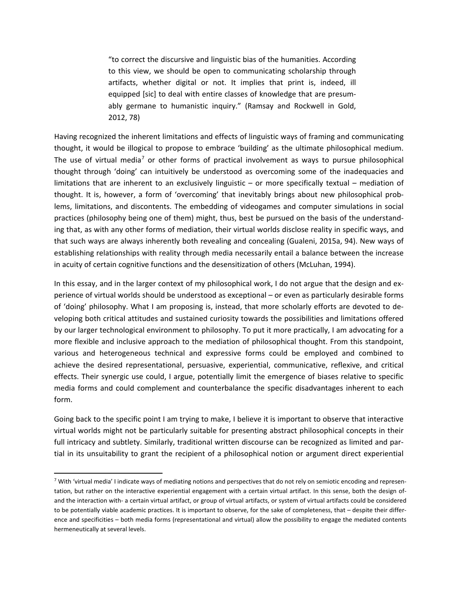"to correct the discursive and linguistic bias of the humanities. According to this view, we should be open to communicating scholarship through artifacts, whether digital or not. It implies that print is, indeed, ill equipped [sic] to deal with entire classes of knowledge that are presumably germane to humanistic inquiry." (Ramsay and Rockwell in Gold, 2012, 78)

Having recognized the inherent limitations and effects of linguistic ways of framing and communicating thought, it would be illogical to propose to embrace 'building' as the ultimate philosophical medium. The use of virtual media<sup>[7](#page-9-0)</sup> or other forms of practical involvement as ways to pursue philosophical thought through 'doing' can intuitively be understood as overcoming some of the inadequacies and limitations that are inherent to an exclusively linguistic – or more specifically textual – mediation of thought. It is, however, a form of 'overcoming' that inevitably brings about new philosophical problems, limitations, and discontents. The embedding of videogames and computer simulations in social practices (philosophy being one of them) might, thus, best be pursued on the basis of the understanding that, as with any other forms of mediation, their virtual worlds disclose reality in specific ways, and that such ways are always inherently both revealing and concealing (Gualeni, 2015a, 94). New ways of establishing relationships with reality through media necessarily entail a balance between the increase in acuity of certain cognitive functions and the desensitization of others (McLuhan, 1994).

In this essay, and in the larger context of my philosophical work, I do not argue that the design and experience of virtual worlds should be understood as exceptional – or even as particularly desirable forms of 'doing' philosophy. What I am proposing is, instead, that more scholarly efforts are devoted to developing both critical attitudes and sustained curiosity towards the possibilities and limitations offered by our larger technological environment to philosophy. To put it more practically, I am advocating for a more flexible and inclusive approach to the mediation of philosophical thought. From this standpoint, various and heterogeneous technical and expressive forms could be employed and combined to achieve the desired representational, persuasive, experiential, communicative, reflexive, and critical effects. Their synergic use could, I argue, potentially limit the emergence of biases relative to specific media forms and could complement and counterbalance the specific disadvantages inherent to each form.

Going back to the specific point I am trying to make, I believe it is important to observe that interactive virtual worlds might not be particularly suitable for presenting abstract philosophical concepts in their full intricacy and subtlety. Similarly, traditional written discourse can be recognized as limited and partial in its unsuitability to grant the recipient of a philosophical notion or argument direct experiential

<span id="page-9-0"></span><sup>&</sup>lt;sup>7</sup> With 'virtual media' I indicate ways of mediating notions and perspectives that do not rely on semiotic encoding and representation, but rather on the interactive experiential engagement with a certain virtual artifact. In this sense, both the design ofand the interaction with- a certain virtual artifact, or group of virtual artifacts, or system of virtual artifacts could be considered to be potentially viable academic practices. It is important to observe, for the sake of completeness, that – despite their difference and specificities – both media forms (representational and virtual) allow the possibility to engage the mediated contents hermeneutically at several levels.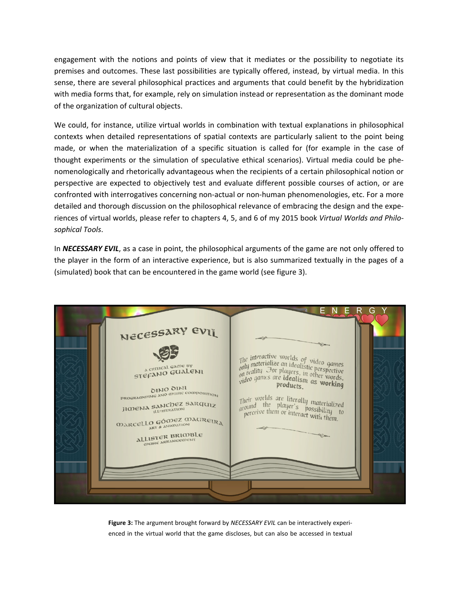engagement with the notions and points of view that it mediates or the possibility to negotiate its premises and outcomes. These last possibilities are typically offered, instead, by virtual media. In this sense, there are several philosophical practices and arguments that could benefit by the hybridization with media forms that, for example, rely on simulation instead or representation as the dominant mode of the organization of cultural objects.

We could, for instance, utilize virtual worlds in combination with textual explanations in philosophical contexts when detailed representations of spatial contexts are particularly salient to the point being made, or when the materialization of a specific situation is called for (for example in the case of thought experiments or the simulation of speculative ethical scenarios). Virtual media could be phenomenologically and rhetorically advantageous when the recipients of a certain philosophical notion or perspective are expected to objectively test and evaluate different possible courses of action, or are confronted with interrogatives concerning non-actual or non-human phenomenologies, etc. For a more detailed and thorough discussion on the philosophical relevance of embracing the design and the experiences of virtual worlds, please refer to chapters 4, 5, and 6 of my 2015 book *Virtual Worlds and Philosophical Tools*.

In *NECESSARY EVIL*, as a case in point, the philosophical arguments of the game are not only offered to the player in the form of an interactive experience, but is also summarized textually in the pages of a (simulated) book that can be encountered in the game world (see figure 3).



**Figure 3:** The argument brought forward by *NECESSARY EVIL* can be interactively experienced in the virtual world that the game discloses, but can also be accessed in textual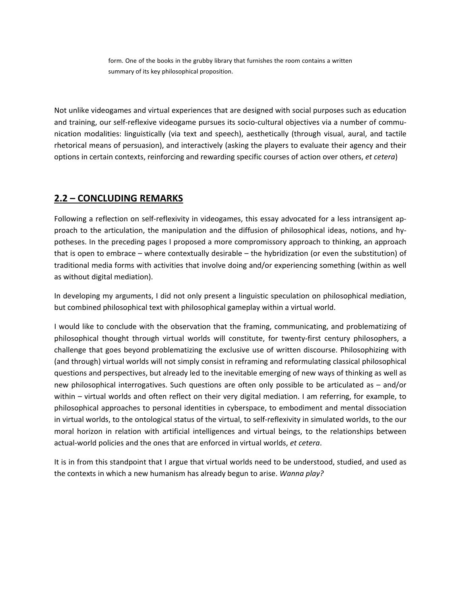form. One of the books in the grubby library that furnishes the room contains a written summary of its key philosophical proposition.

Not unlike videogames and virtual experiences that are designed with social purposes such as education and training, our self-reflexive videogame pursues its socio-cultural objectives via a number of communication modalities: linguistically (via text and speech), aesthetically (through visual, aural, and tactile rhetorical means of persuasion), and interactively (asking the players to evaluate their agency and their options in certain contexts, reinforcing and rewarding specific courses of action over others, *et cetera*)

#### **2.2 – CONCLUDING REMARKS**

Following a reflection on self-reflexivity in videogames, this essay advocated for a less intransigent approach to the articulation, the manipulation and the diffusion of philosophical ideas, notions, and hypotheses. In the preceding pages I proposed a more compromissory approach to thinking, an approach that is open to embrace – where contextually desirable – the hybridization (or even the substitution) of traditional media forms with activities that involve doing and/or experiencing something (within as well as without digital mediation).

In developing my arguments, I did not only present a linguistic speculation on philosophical mediation, but combined philosophical text with philosophical gameplay within a virtual world.

I would like to conclude with the observation that the framing, communicating, and problematizing of philosophical thought through virtual worlds will constitute, for twenty-first century philosophers, a challenge that goes beyond problematizing the exclusive use of written discourse. Philosophizing with (and through) virtual worlds will not simply consist in reframing and reformulating classical philosophical questions and perspectives, but already led to the inevitable emerging of new ways of thinking as well as new philosophical interrogatives. Such questions are often only possible to be articulated as – and/or within – virtual worlds and often reflect on their very digital mediation. I am referring, for example, to philosophical approaches to personal identities in cyberspace, to embodiment and mental dissociation in virtual worlds, to the ontological status of the virtual, to self-reflexivity in simulated worlds, to the our moral horizon in relation with artificial intelligences and virtual beings, to the relationships between actual-world policies and the ones that are enforced in virtual worlds, *et cetera*.

It is in from this standpoint that I argue that virtual worlds need to be understood, studied, and used as the contexts in which a new humanism has already begun to arise. *Wanna play?*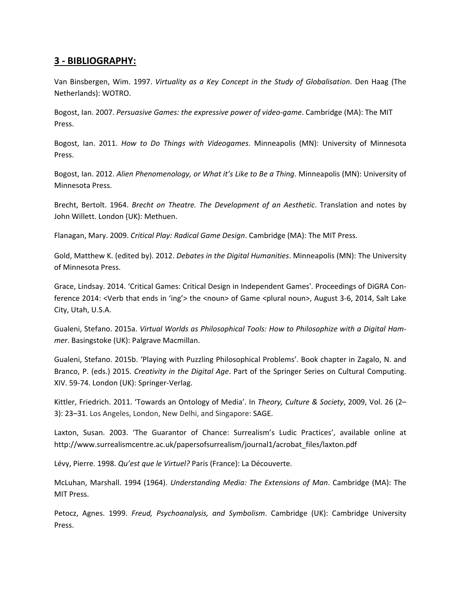### **3 - BIBLIOGRAPHY:**

Van Binsbergen, Wim. 1997. *Virtuality as a Key Concept in the Study of Globalisation*. Den Haag (The Netherlands): WOTRO.

Bogost, Ian. 2007. *Persuasive Games: the expressive power of video-game*. Cambridge (MA): The MIT Press.

Bogost, Ian. 2011. *How to Do Things with Videogames*. Minneapolis (MN): University of Minnesota Press.

Bogost, Ian. 2012. *Alien Phenomenology, or What it's Like to Be a Thing*. Minneapolis (MN): University of Minnesota Press.

Brecht, Bertolt. 1964. *Brecht on Theatre. The Development of an Aesthetic*. Translation and notes by John Willett. London (UK): Methuen.

Flanagan, Mary. 2009. *Critical Play: Radical Game Design*. Cambridge (MA): The MIT Press.

Gold, Matthew K. (edited by). 2012. *Debates in the Digital Humanities*. Minneapolis (MN): The University of Minnesota Press.

Grace, Lindsay. 2014. 'Critical Games: Critical Design in Independent Games'. Proceedings of DiGRA Conference 2014: <Verb that ends in 'ing'> the <noun> of Game <plural noun>, August 3-6, 2014, Salt Lake City, Utah, U.S.A.

Gualeni, Stefano. 2015a. *Virtual Worlds as Philosophical Tools: How to Philosophize with a Digital Hammer*. Basingstoke (UK): Palgrave Macmillan.

Gualeni, Stefano. 2015b. 'Playing with Puzzling Philosophical Problems'. Book chapter in Zagalo, N. and Branco, P. (eds.) 2015. *Creativity in the Digital Age*. Part of the Springer Series on Cultural Computing. XIV. 59-74. London (UK): Springer-Verlag.

Kittler, Friedrich. 2011. 'Towards an Ontology of Media'. In *Theory, Culture & Society*, 2009, Vol. 26 (2– 3): 23–31. Los Angeles, London, New Delhi, and Singapore: SAGE.

Laxton, Susan. 2003. 'The Guarantor of Chance: Surrealism's Ludic Practices', available online at http://www.surrealismcentre.ac.uk/papersofsurrealism/journal1/acrobat\_files/laxton.pdf

Lévy, Pierre. 1998. *Qu'est que le Virtuel?* Paris (France): La Découverte.

McLuhan, Marshall. 1994 (1964). *Understanding Media: The Extensions of Man*. Cambridge (MA): The MIT Press.

Petocz, Agnes. 1999. *Freud, Psychoanalysis, and Symbolism*. Cambridge (UK): Cambridge University Press.